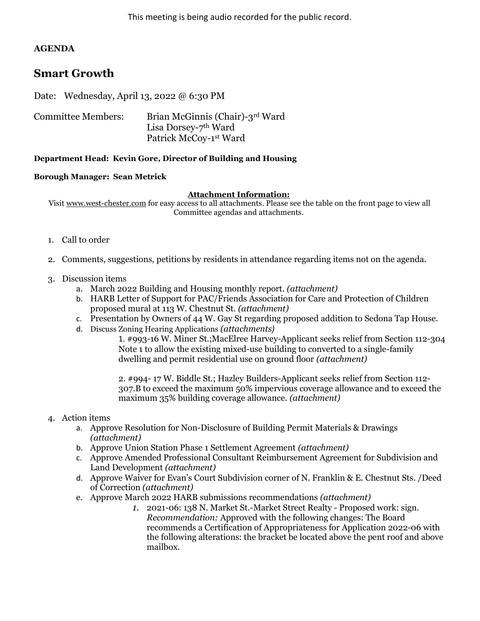## AGENDA

# Smart Growth

Date: Wednesday, April 13, 2022 @ 6:30 PM

| <b>Committee Members:</b> | Brian McGinnis (Chair)-3rd Ward  |
|---------------------------|----------------------------------|
|                           | Lisa Dorsey-7 <sup>th</sup> Ward |
|                           | Patrick McCoy-1st Ward           |

### Department Head: Kevin Gore, Director of Building and Housing

### Borough Manager: Sean Metrick

#### Attachment Information:

Visit www.west-chester.com for easy access to all attachments. Please see the table on the front page to view all Committee agendas and attachments.

- 1. Call to order
- 2. Comments, suggestions, petitions by residents in attendance regarding items not on the agenda.
- 3. Discussion items
	- a. March 2022 Building and Housing monthly report. (attachment)
	- b. HARB Letter of Support for PAC/Friends Association for Care and Protection of Children proposed mural at 113 W. Chestnut St. (attachment)
	- c. Presentation by Owners of 44 W. Gay St regarding proposed addition to Sedona Tap House.
	- d. Discuss Zoning Hearing Applications (attachments)

1. #993-16 W. Miner St.;MacElree Harvey-Applicant seeks relief from Section 112-304 Note 1 to allow the existing mixed-use building to converted to a single-family dwelling and permit residential use on ground floor (attachment)

2. #994- 17 W. Biddle St.; Hazley Builders-Applicant seeks relief from Section 112- 307.B to exceed the maximum 50% impervious coverage allowance and to exceed the maximum 35% building coverage allowance. (attachment)

### 4. Action items

- a. Approve Resolution for Non-Disclosure of Building Permit Materials & Drawings (attachment)
- b. Approve Union Station Phase 1 Settlement Agreement (attachment)
- c. Approve Amended Professional Consultant Reimbursement Agreement for Subdivision and Land Development (attachment)
- d. Approve Waiver for Evan's Court Subdivision corner of N. Franklin & E. Chestnut Sts. /Deed of Correction (attachment)
- e. Approve March 2022 HARB submissions recommendations (attachment)
	- 1. 2021-06: 138 N. Market St.-Market Street Realty Proposed work: sign. Recommendation: Approved with the following changes: The Board recommends a Certification of Appropriateness for Application 2022-06 with the following alterations: the bracket be located above the pent roof and above mailbox.